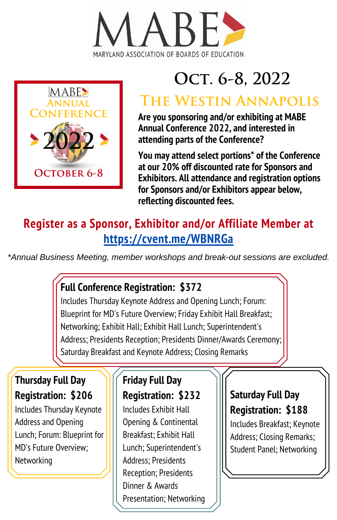



# OCT. 6-8, 2022

## The Westin Annapolis

**Are you sponsoring and/or exhibiting at MABE Annual Conference 2022, and interested in attending parts of the Conference?**

**You may attend select portions\* of the Conference at our 20% off discounted rate for Sponsors and Exhibitors. All attendance and registration options for Sponsors and/or Exhibitors appear below, reflecting discounted fees.**

### **Register as a Sponsor, Exhibitor and/or Affiliate Member at <https://cvent.me/WBNRGa>**

*\*Annual Business Meeting, member workshops and break-out sessions are excluded.*

#### **Full Conference Registration: \$372**

Includes Thursday Keynote Address and Opening Lunch; Forum: Blueprint for MD's Future Overview; Friday Exhibit Hall Breakfast; Networking; Exhibit Hall; Exhibit Hall Lunch; Superintendent's Address; Presidents Reception; Presidents Dinner/Awards Ceremony; Saturday Breakfast and Keynote Address; Closing Remarks

#### **Thursday Full Day Registration: \$206**

Includes Thursday Keynote Address and Opening Lunch; Forum: Blueprint for MD's Future Overview; **Networking** 

#### **Friday Full Day Registration: \$232**

Includes Exhibit Hall Opening & Continental Breakfast; Exhibit Hall Lunch; Superintendent's Address; Presidents Reception; Presidents Dinner & Awards Presentation; Networking

#### **Saturday Full Day Registration: \$188**

Includes Breakfast; Keynote Address; Closing Remarks; Student Panel; Networking